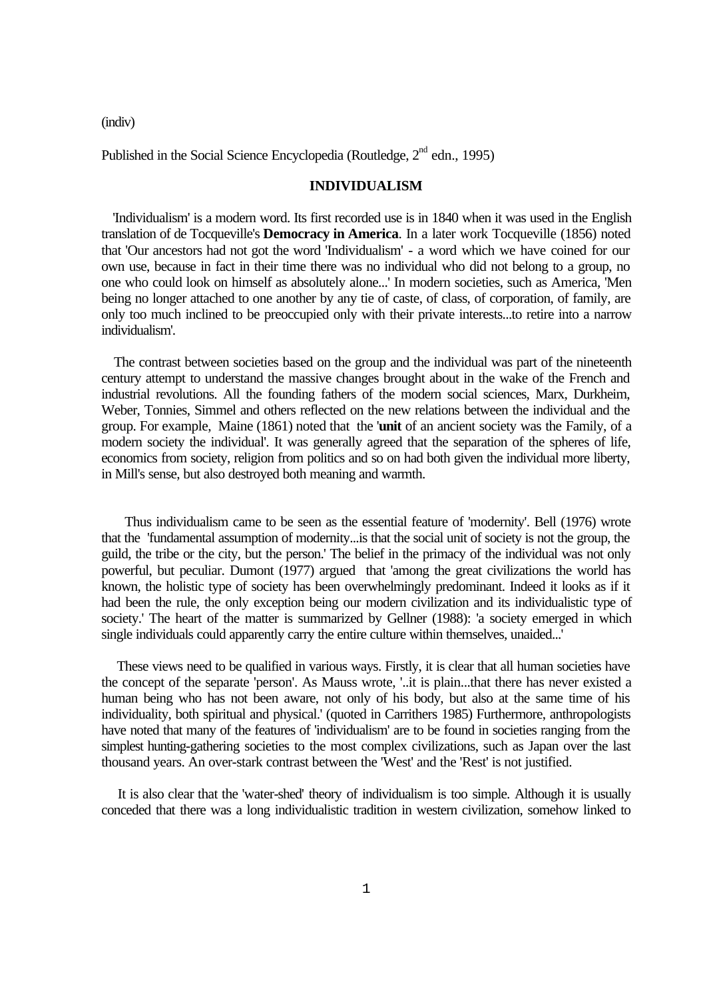(indiv)

Published in the Social Science Encyclopedia (Routledge,  $2<sup>nd</sup>$  edn., 1995)

## **INDIVIDUALISM**

 'Individualism' is a modern word. Its first recorded use is in 1840 when it was used in the English translation of de Tocqueville's **Democracy in America**. In a later work Tocqueville (1856) noted that 'Our ancestors had not got the word 'Individualism' - a word which we have coined for our own use, because in fact in their time there was no individual who did not belong to a group, no one who could look on himself as absolutely alone...' In modern societies, such as America, 'Men being no longer attached to one another by any tie of caste, of class, of corporation, of family, are only too much inclined to be preoccupied only with their private interests...to retire into a narrow individualism'.

 The contrast between societies based on the group and the individual was part of the nineteenth century attempt to understand the massive changes brought about in the wake of the French and industrial revolutions. All the founding fathers of the modern social sciences, Marx, Durkheim, Weber, Tonnies, Simmel and others reflected on the new relations between the individual and the group. For example, Maine (1861) noted that the '**unit** of an ancient society was the Family, of a modern society the individual'. It was generally agreed that the separation of the spheres of life, economics from society, religion from politics and so on had both given the individual more liberty, in Mill's sense, but also destroyed both meaning and warmth.

 Thus individualism came to be seen as the essential feature of 'modernity'. Bell (1976) wrote that the 'fundamental assumption of modernity...is that the social unit of society is not the group, the guild, the tribe or the city, but the person.' The belief in the primacy of the individual was not only powerful, but peculiar. Dumont (1977) argued that 'among the great civilizations the world has known, the holistic type of society has been overwhelmingly predominant. Indeed it looks as if it had been the rule, the only exception being our modern civilization and its individualistic type of society.' The heart of the matter is summarized by Gellner (1988): 'a society emerged in which single individuals could apparently carry the entire culture within themselves, unaided...'

 These views need to be qualified in various ways. Firstly, it is clear that all human societies have the concept of the separate 'person'. As Mauss wrote, '..it is plain...that there has never existed a human being who has not been aware, not only of his body, but also at the same time of his individuality, both spiritual and physical.' (quoted in Carrithers 1985) Furthermore, anthropologists have noted that many of the features of 'individualism' are to be found in societies ranging from the simplest hunting-gathering societies to the most complex civilizations, such as Japan over the last thousand years. An over-stark contrast between the 'West' and the 'Rest' is not justified.

 It is also clear that the 'water-shed' theory of individualism is too simple. Although it is usually conceded that there was a long individualistic tradition in western civilization, somehow linked to